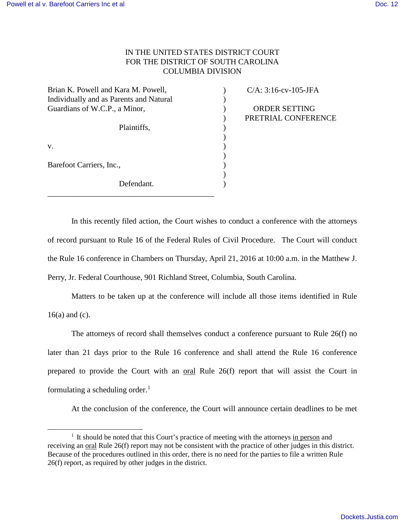$\overline{a}$ 

## IN THE UNITED STATES DISTRICT COURT FOR THE DISTRICT OF SOUTH CAROLINA COLUMBIA DIVISION

 $\mathcal{L}$ 

 $\mathcal{L}$ )  $\mathcal{L}$  $\mathcal{L}$ ) ) )

| Brian K. Powell and Kara M. Powell,     |
|-----------------------------------------|
| Individually and as Parents and Natural |
| Guardians of W.C.P., a Minor,           |
| Plaintiffs,                             |
| V.                                      |
| Barefoot Carriers, Inc.,                |
| Defendant.                              |

 $C/A: 3:16$ -cv-105-JFA

) ORDER SETTING ) PRETRIAL CONFERENCE

In this recently filed action, the Court wishes to conduct a conference with the attorneys of record pursuant to Rule 16 of the Federal Rules of Civil Procedure. The Court will conduct the Rule 16 conference in Chambers on Thursday, April 21, 2016 at 10:00 a.m. in the Matthew J. Perry, Jr. Federal Courthouse, 901 Richland Street, Columbia, South Carolina.

Matters to be taken up at the conference will include all those items identified in Rule 16(a) and (c).

The attorneys of record shall themselves conduct a conference pursuant to Rule 26(f) no later than 21 days prior to the Rule 16 conference and shall attend the Rule 16 conference prepared to provide the Court with an oral Rule 26(f) report that will assist the Court in formulating a scheduling order.<sup>1</sup>

At the conclusion of the conference, the Court will announce certain deadlines to be met

<sup>&</sup>lt;sup>1</sup> It should be noted that this Court's practice of meeting with the attorneys in person and receiving an oral Rule 26(f) report may not be consistent with the practice of other judges in this district. Because of the procedures outlined in this order, there is no need for the parties to file a written Rule 26(f) report, as required by other judges in the district.